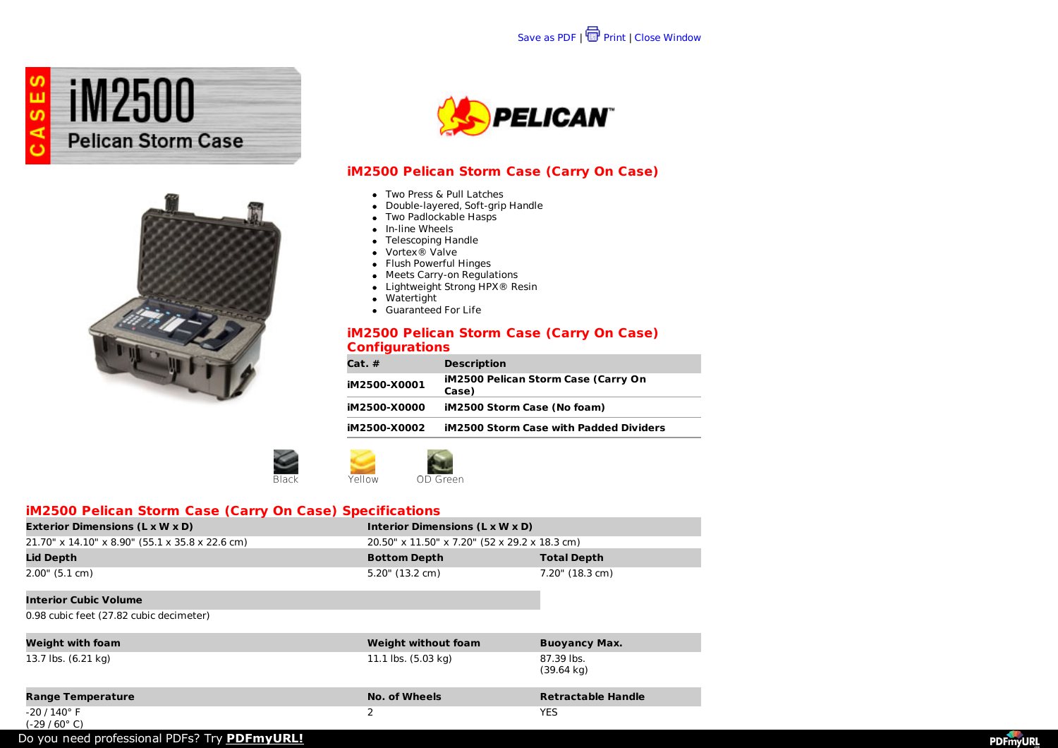





# **iM2500 Pelican Storm Case (Carry On Case)**

- Two Press & Pull Latches
- Double-layered, Soft-grip Handle
- Two Padlockable Hasps
- In-line Wheels
- Telescoping Handle
- Vortex® Valve
- Flush Powerful Hinges
- Meets Carry-on Regulations
- Lightweight Strong HPX<sup>®</sup> Resin
- Watertight
- Guaranteed For Life

### **iM2500 Pelican Storm Case (Carry On Case) Configurations**

| Cat. #       | <b>Description</b>                                  |
|--------------|-----------------------------------------------------|
| iM2500-X0001 | <b>iM2500 Pelican Storm Case (Carry On</b><br>Case) |
| iM2500-X0000 | iM2500 Storm Case (No foam)                         |
| iM2500-X0002 | <b>iM2500 Storm Case with Padded Dividers</b>       |



# **iM2500 Pelican Storm Case (Carry On Case) Specifications**

| <b>Exterior Dimensions (L x W x D)</b>                | Interior Dimensions (L x W x D)               |                    |
|-------------------------------------------------------|-----------------------------------------------|--------------------|
| $21.70''$ x $14.10''$ x 8.90" (55.1 x 35.8 x 22.6 cm) | 20.50" x 11.50" x 7.20" (52 x 29.2 x 18.3 cm) |                    |
|                                                       |                                               |                    |
| Lid Depth                                             | <b>Bottom Depth</b>                           | <b>Total Depth</b> |

#### **Interior Cubic Volume**

0.98 cubic feet (27.82 cubic decimeter)

| <b>Weight with foam</b><br>13.7 lbs. (6.21 kg) | <b>Weight without foam</b><br>11.1 lbs. (5.03 kg) | <b>Buoyancy Max.</b><br>87.39 lbs.<br>$(39.64 \text{ kg})$ |
|------------------------------------------------|---------------------------------------------------|------------------------------------------------------------|
| <b>Range Temperature</b>                       | <b>No. of Wheels</b>                              | <b>Retractable Handle</b>                                  |
| $-20/140^\circ$ F<br>$(-29/60^{\circ} C)$      | っ                                                 | <b>YES</b>                                                 |

Do you need professional PDFs? Try **[PDFmyURL!](http://pdfmyurl.com)**